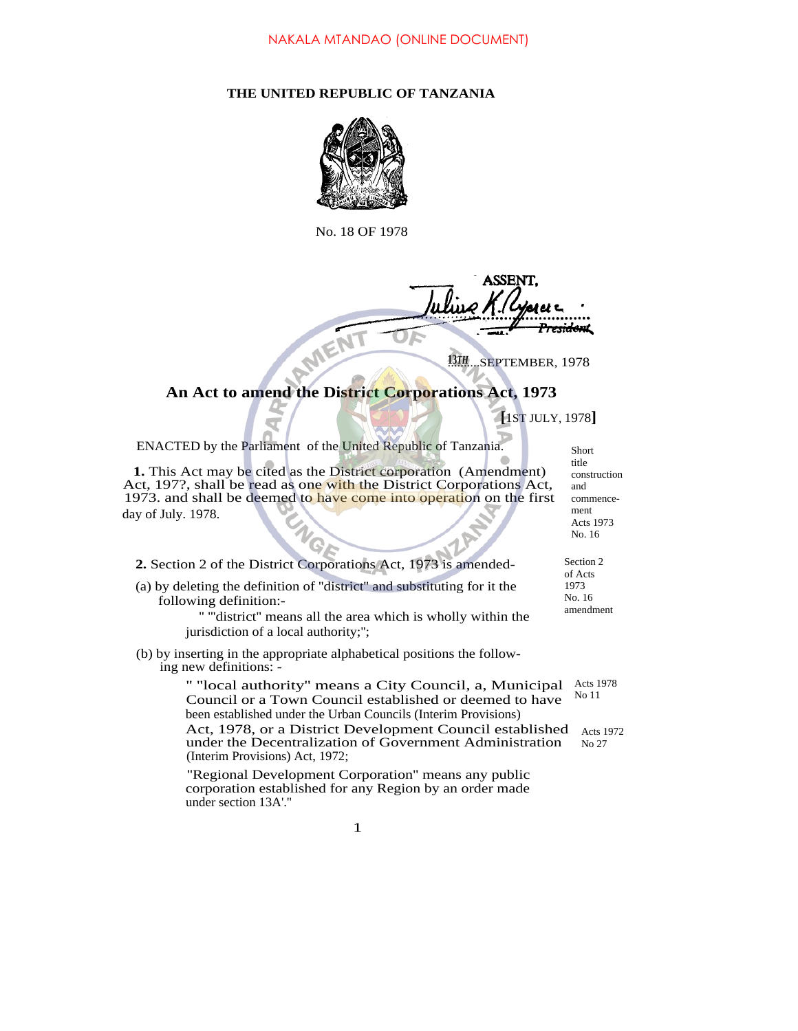## **THE UNITED REPUBLIC OF TANZANIA**



No. 18 OF 1978

<del>rsidan</del>t

13TH...SEPTEMBER, 1978

# **An Act to amend the District Corporations Act, 1973**

**[**1ST JULY, 1978**]**

ENACTED by the Parliament of the United Republic of Tanzania.

**1.** This Act may be cited as the District corporation (Amendment) Act, 197?, shall be read as one with the District Corporations Act, 1973. and shall be deemed to have come into operation on the first day of July. 1978.

**2.** Section 2 of the District Corporations Act, 1973 is amended-

(a) by deleting the definition of ''district'' and substituting for it the following definition:-

'' '''district'' means all the area which is wholly within the jurisdiction of a local authority;'';

(b) by inserting in the appropriate alphabetical positions the following new definitions: -

> " "local authority" means a City Council, a, Municipal Acts 1978 Council or a Town Council established or deemed to have been established under the Urban Councils (Interim Provisions) Act, 1978, or a District Development Council established Acts 1972 under the Decentralization of Government Administration (Interim Provisions) Act, 1972; No 11

''Regional Development Corporation'' means any public corporation established for any Region by an order made under section 13A'.''

1

| Short        |
|--------------|
| title        |
| construction |
| and          |
| commence-    |
| ment         |
| Acts 1973    |
| No. 16       |
|              |

Section 2 of Acts 1973 No. 16 amendment

No 27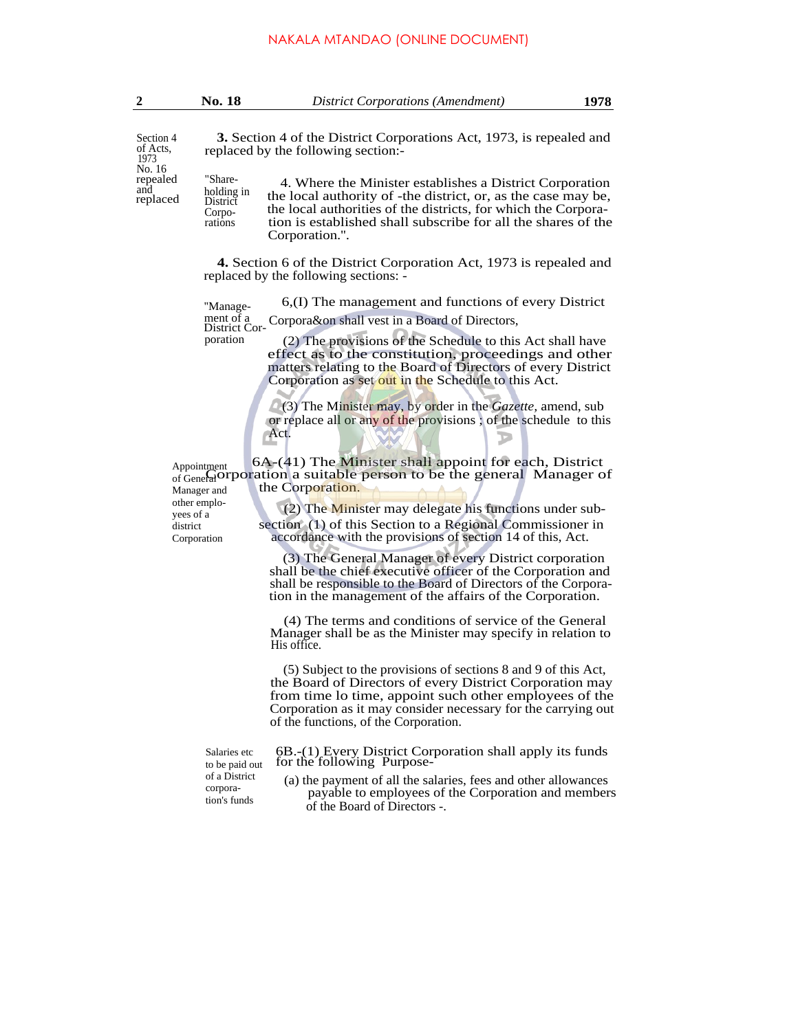|  | <b>No. 18</b> | District Corporations (Amendment) | 1978 |
|--|---------------|-----------------------------------|------|
|--|---------------|-----------------------------------|------|

Section 4 of Acts, 1973 No. 16<br>repealed replaced District

**3.** Section 4 of the District Corporations Act, 1973, is repealed and replaced by the following section:-

repealed "Share-<br>and, holding in the local authority of the district or as the case may be the local authority of -the district, or, as the case may be, the local authorities of the districts, for which the Corporation is established shall subscribe for all the shares of the Corporation.''. Corporations

> **4.** Section 6 of the District Corporation Act, 1973 is repealed and replaced by the following sections: -

6,(I) The management and functions of every District Corpora&on shall vest in a Board of Directors, ''Management of a District Cor-

(2) The provisions of the Schedule to this Act shall have effect as to the constitution, proceedings and other matters relating to the Board of Directors of every District Corporation as set out in the Schedule to this Act.

(3) The Minister may, by order in the *Gazette,* amend, sub or replace all or any of the provisions ; of the schedule to this Act.

 6A-(41) The Minister shall appoint for each, District Appointment<br>of General Ortorion a suitable person to be the general Manager of the Corporation.

> (2) The Minister may delegate his functions under subsection (1) of this Section to a Regional Commissioner in accordance with the provisions of section 14 of this, Act.

(3) The General Manager of every District corporation shall be the chief executive officer of the Corporation and shall be responsible to the Board of Directors of the Corporation in the management of the affairs of the Corporation.

(4) The terms and conditions of service of the General Manager shall be as the Minister may specify in relation to His office.

(5) Subject to the provisions of sections 8 and 9 of this Act, the Board of Directors of every District Corporation may from time lo time, appoint such other employees of the Corporation as it may consider necessary for the carrying out of the functions, of the Corporation.

Salaries etc to be paid out of a District corporation's funds

6B.-(1) Every District Corporation shall apply its funds for the following Purpose-

(a) the payment of all the salaries, fees and other allowances payable to employees of the Corporation and members of the Board of Directors -.

Appointment Manager and other employees of a district Corporation

poration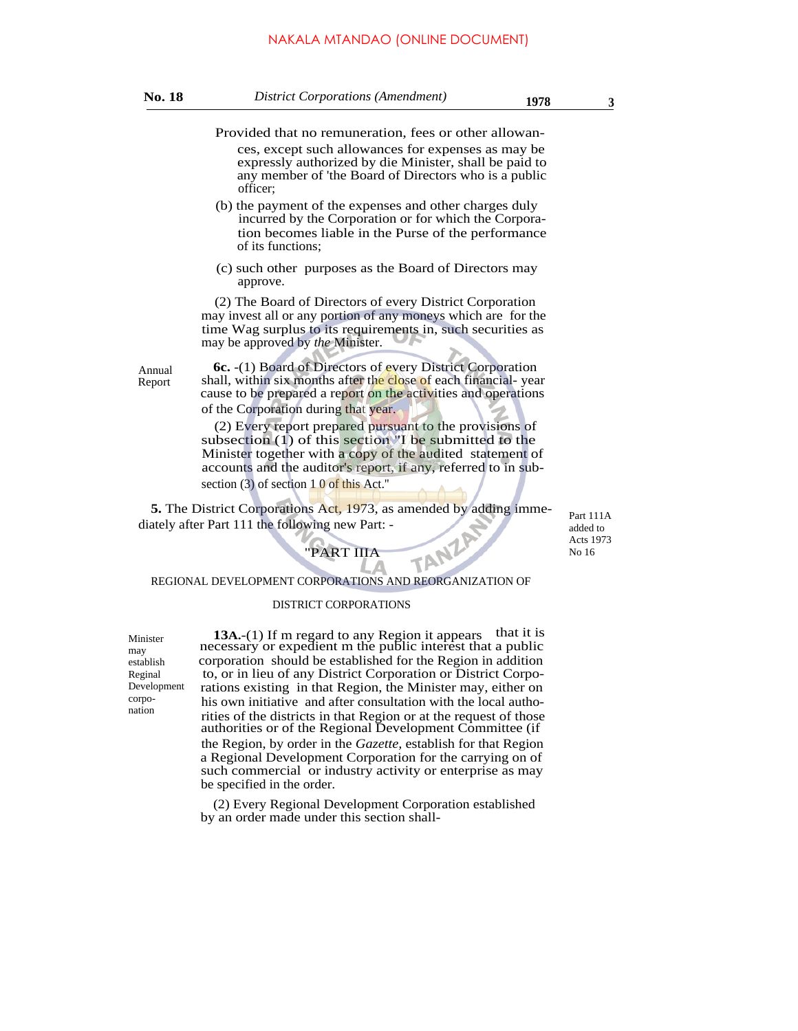#### NAKALA MTANDAO (ONLINE DOCUMENT)

| No. 18 | <b>District Corporations (Amendment)</b> | 1978 |  |
|--------|------------------------------------------|------|--|
|--------|------------------------------------------|------|--|

- Provided that no remuneration, fees or other allowances, except such allowances for expenses as may be expressly authorized by die Minister, shall be paid to any member of 'the Board of Directors who is a public officer;
- (b) the payment of the expenses and other charges duly incurred by the Corporation or for which the Corporation becomes liable in the Purse of the performance of its functions;
- (c) such other purposes as the Board of Directors may approve.

(2) The Board of Directors of every District Corporation may invest all or any portion of any moneys which are for the time Wag surplus to its requirements in, such securities as may be approved by *the* Minister.

Annual Report

**6c.** -(1) Board of Directors of every District Corporation shall, within six months after the close of each financial-year cause to be prepared a report on the activities and operations of the Corporation during that year.

(2) Every report prepared pursuant to the provisions of subsection (1) of this section "I be submitted to the Minister together with a copy of the audited statement of accounts and the auditor's report, if any, referred to in subsection (3) of section 1 0 of this Act."

Δ

**5.** The District Corporations Act, 1973, as amended by adding immediately after Part 111 the following new Part: -

Part 111A added to Acts 1973 No 16

# **PART IIIA TANZA**

"PART IIIA

#### DISTRICT CORPORATIONS

Minister may establish Reginal Development corponation

**13A.** (1) If m regard to any Region it appears that it is necessary or expedient m the public interest that a public corporation should be established for the Region in addition to, or in lieu of any District Corporation or District Corporations existing in that Region, the Minister may, either on his own initiative and after consultation with the local authorities of the districts in that Region or at the request of those authorities or of the Regional Development Committee (if the Region, by order in the *Gazette,* establish for that Region a Regional Development Corporation for the carrying on of such commercial or industry activity or enterprise as may be specified in the order.

(2) Every Regional Development Corporation established by an order made under this section shall-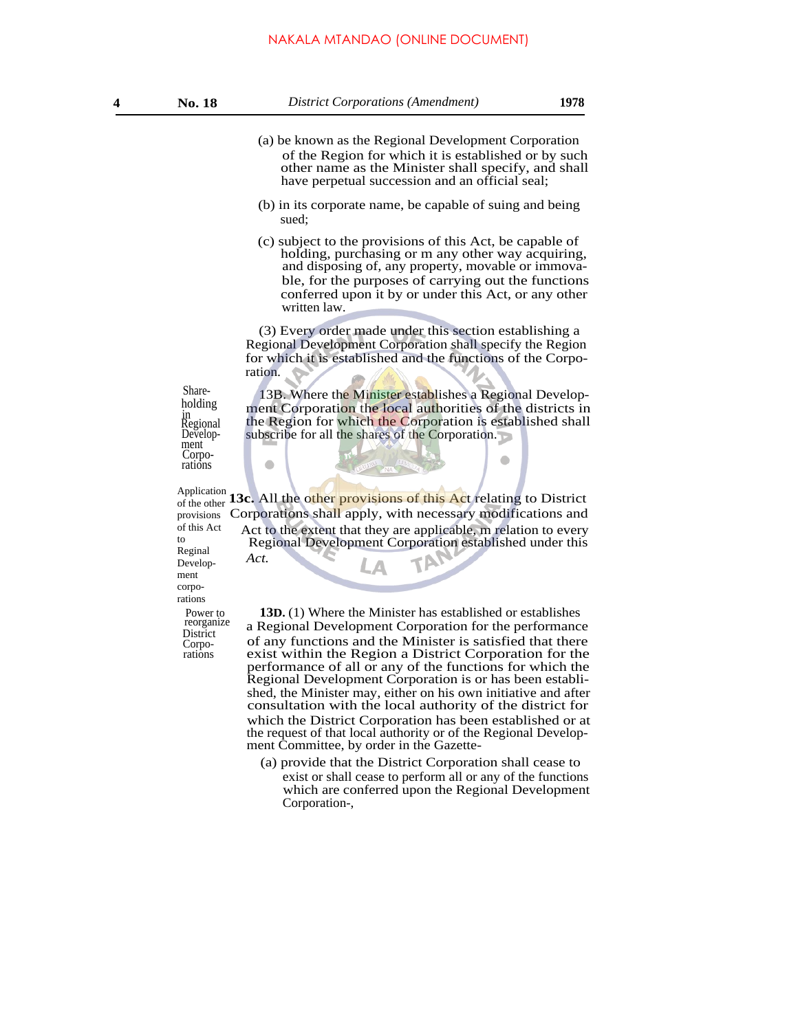#### NAKALA MTANDAO (ONLINE DOCUMENT)

- (a) be known as the Regional Development Corporation of the Region for which it is established or by such other name as the Minister shall specify, and shall have perpetual succession and an official seal;
- (b) in its corporate name, be capable of suing and being sued;
- (c) subject to the provisions of this Act, be capable of holding, purchasing or m any other way acquiring, and disposing of, any property, movable or immovable, for the purposes of carrying out the functions conferred upon it by or under this Act, or any other written law.

(3) Every order made under this section establishing a Regional Development Corporation shall specify the Region for which it is established and the functions of the Corporation.

holding in Regional Development Corpo-rations

### Application

Power to provisions of this Act to Reginal Development corporations

*Act.*

 $\bullet$ 

reorganize Corporations

Share-<br>13B. Where the Minister establishes a Regional Development Corporation the local authorities of the districts in the Region for which the Corporation is established shall subscribe for all the shares of the Corporation.

 $\bullet$ 

Application **13c.** All the other provisions of this Act relating to District Corporations shall apply, with necessary modifications and Act to the extent that they are applicable, m relation to every Regional Development Corporation established under this

**13D.** (1) Where the Minister has established or establishes a Regional Development Corporation for the performance District<br>Corporation of any functions and the Minister is satisfied that there exist within the Region a District Corporation for the performance of all or any of the functions for which the Regional Development Corporation is or has been established, the Minister may, either on his own initiative and after consultation with the local authority of the district for which the District Corporation has been established or at the request of that local authority or of the Regional Development Committee, by order in the Gazette-

> (a) provide that the District Corporation shall cease to exist or shall cease to perform all or any of the functions which are conferred upon the Regional Development Corporation-,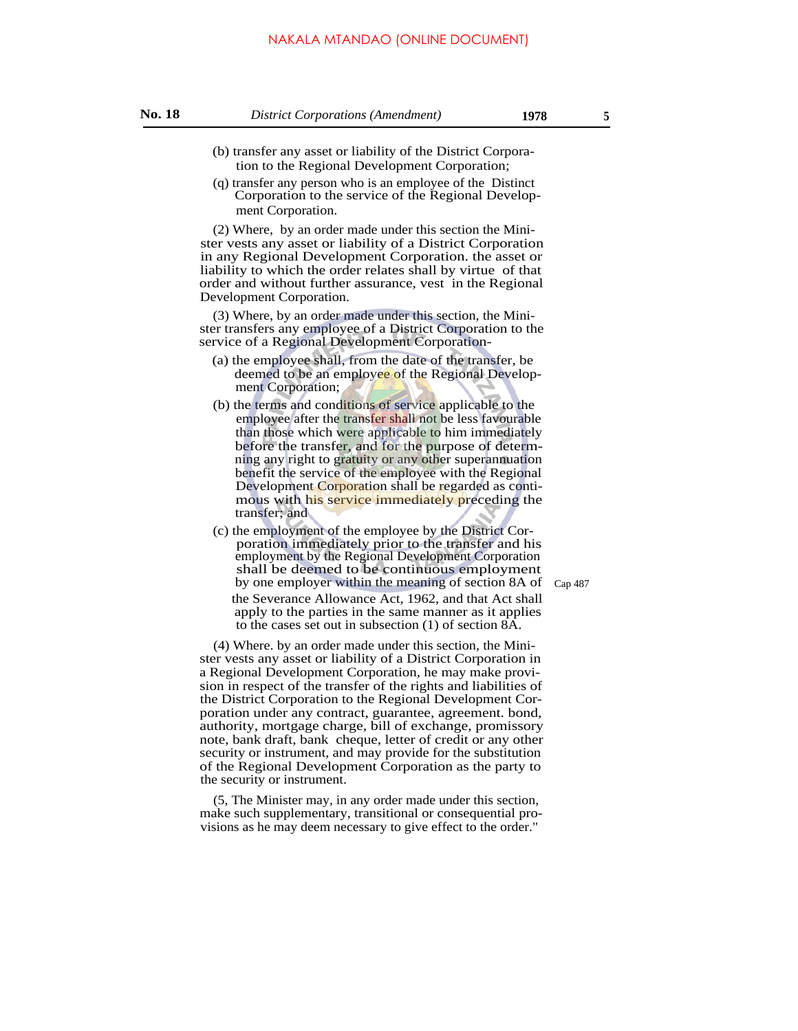#### **No. 18** *District Corporations (Amendment)* **1978 <sup>5</sup>**

- (b) transfer any asset or liability of the District Corporation to the Regional Development Corporation;
- (q) transfer any person who is an employee of the Distinct Corporation to the service of the Regional Development Corporation.

(2) Where, by an order made under this section the Minister vests any asset or liability of a District Corporation in any Regional Development Corporation. the asset or liability to which the order relates shall by virtue of that order and without further assurance, vest in the Regional Development Corporation.

(3) Where, by an order made under this section, the Minister transfers any employee of a District Corporation to the service of a Regional Development Corporation-

- (a) the employee shall, from the date of the transfer, be deemed to be an employee of the Regional Development Corporation;
- (b) the terms and conditions of service applicable to the employee after the transfer shall not be less favourable than those which were applicable to him immediately before the transfer, and for the purpose of determning any right to gratuity or any other superannuation benefit the service of the employee with the Regional Development Corporation shall be regarded as contimous with his service immediately preceding the transfer; and
- (c) the employment of the employee by the District Corporation immediately prior to the transfer and his employment by the Regional Development Corporation shall be deemed to be continuous employment by one employer within the meaning of section 8A of  $_{Cap\,487}$ the Severance Allowance Act, 1962, and that Act shall apply to the parties in the same manner as it applies to the cases set out in subsection (1) of section 8A.

(4) Where. by an order made under this section, the Minister vests any asset or liability of a District Corporation in a Regional Development Corporation, he may make provision in respect of the transfer of the rights and liabilities of the District Corporation to the Regional Development Corporation under any contract, guarantee, agreement. bond, authority, mortgage charge, bill of exchange, promissory note, bank draft, bank cheque, letter of credit or any other security or instrument, and may provide for the substitution of the Regional Development Corporation as the party to the security or instrument.

(5, The Minister may, in any order made under this section, make such supplementary, transitional or consequential provisions as he may deem necessary to give effect to the order."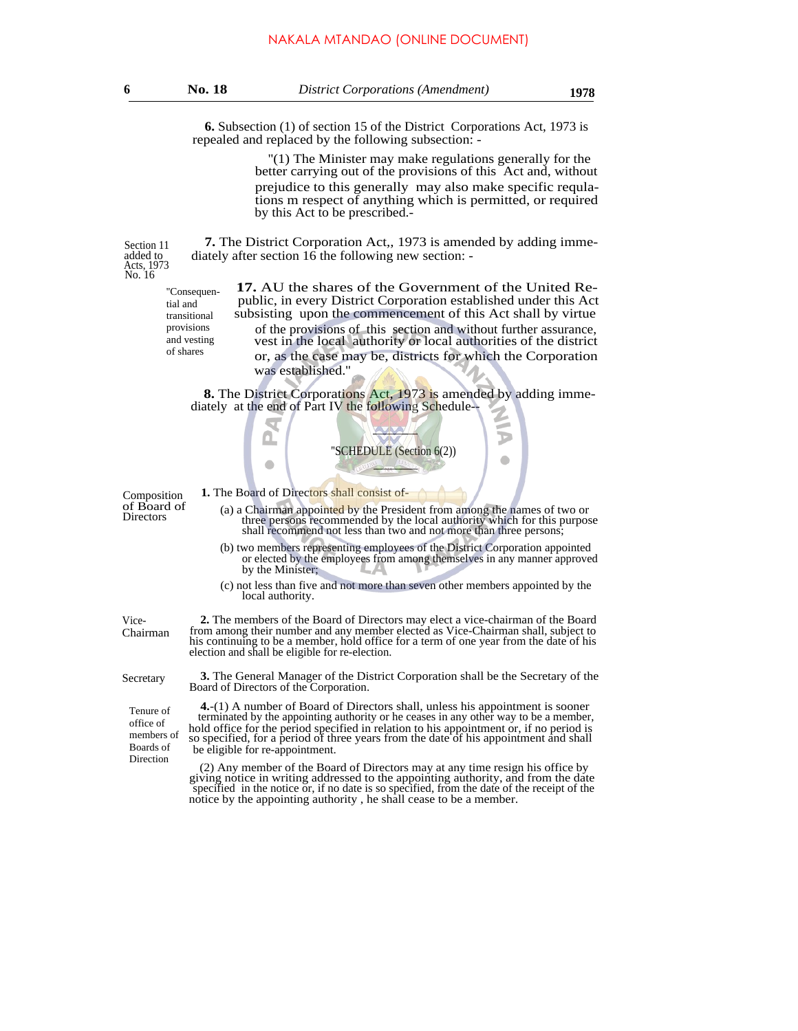**6.** Subsection (1) of section 15 of the District Corporations Act, 1973 is repealed and replaced by the following subsection: -

> ''(1) The Minister may make regulations generally for the better carrying out of the provisions of this Act and, without prejudice to this generally may also make specific requlations m respect of [anything](http://anyth.ng) which is permitted, or required by this Act to be prescribed.-

**7.** The District Corporation Act,, 1973 is amended by adding immediately after section 16 the following new section: -

added to Acts, 1973 No. 16

Section 11

''Consequential and transitional provisions and vesting of shares

**17.** AU the shares of the Government of the United Re public, in every District Corporation established under this Act subsisting upon the commencement of this Act shall by virtue of the provisions of this section and without further assurance, vest in the local authority or local authorities of the district or, as the case may be, districts for which the Corporation was established.''

**8.** The District Corporations Act, 1973 is amended by adding immediately at the end of Part IV the following Schedule--



- Composition **1.** The Board of Directors shall consist of-<br>of Board of (a) a Chairman appairted by the Pracia
- of Board of (a) a Chairman appointed by the President from among the names of two or Directors three persons recommended by the local authority which for this purpose shall recommend not less than two and not more than three persons;
	- (b) two members representing employees of the District Corporation appointed or elected by the employees from among themselves in any manner approved by the Minister;
	- (c) not less than five and not more than seven other members appointed by the local authority.

**2.** The members of the Board of Directors may elect a vice-chairman of the Board from among their number and any member elected as Vice-Chairman shall, subject to his continuing to be a member, hold office for a term of one year from the date of his election and shall be eligible for re-election.

**3.** The General Manager of the District Corporation shall be the Secretary of the Board of Directors of the Corporation.

Tenure of office of members of Boards of Direction

Vice-Chairman

Secretary

**4.**-(1) A number of Board of Directors shall, unless his appointment is sooner terminated by the appointing authority or he ceases in any other way to be a member, hold office for the period specified in relation to his appointment or, if no period is so specified, for a period of three years from the date of his appointment and shall be eligible for re-appointment.

(2) Any member of the Board of Directors may at any time resign his office by giving notice in writing addressed to the appointing authority, and from the date specified in the notice or, if no date is so specified, from the date of the receipt of the notice by the appointing authority , he shall cease to be a member.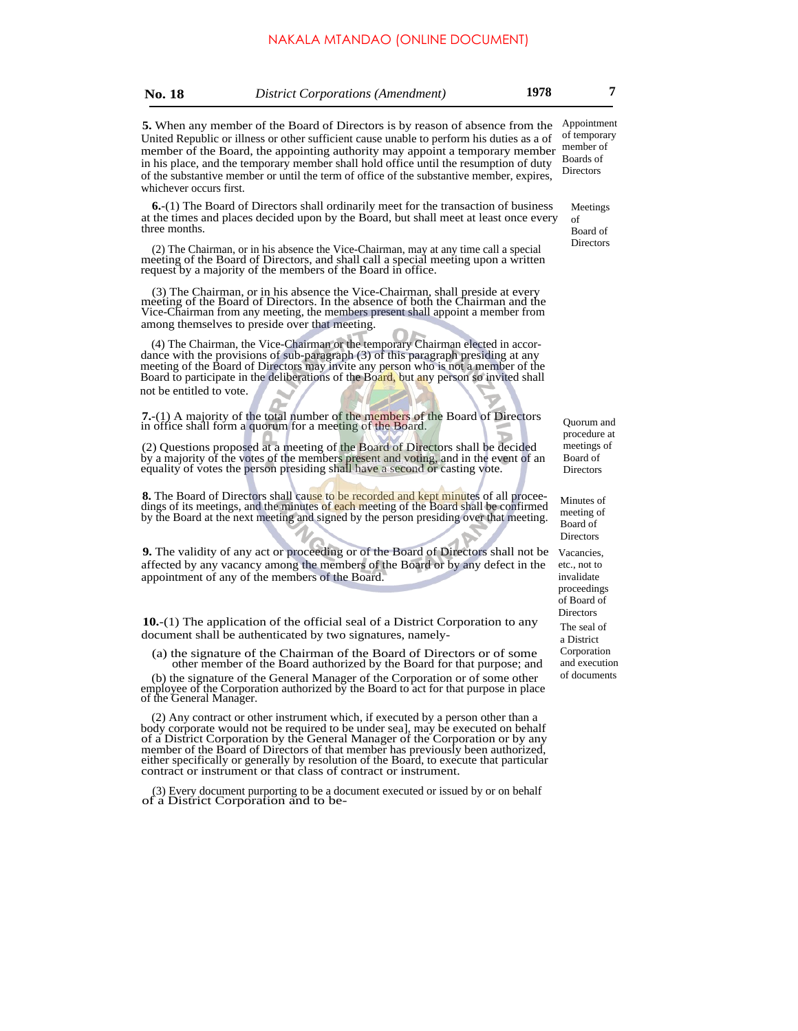| <b>District Corporations (Amendment)</b><br><b>No. 18</b> | 1978 |  |
|-----------------------------------------------------------|------|--|
|-----------------------------------------------------------|------|--|

**5.** When any member of the Board of Directors is by reason of absence from the United Republic or illness or other sufficient cause unable to perform his duties as a of member of the Board, the appointing authority may appoint a temporary member in his place, and the temporary member shall hold office until the resumption of duty of the substantive member or until the term of office of the substantive member, expires, whichever occurs first.

**6.**-(1) The Board of Directors shall ordinarily meet for the transaction of business at the times and places decided upon by the Board, but shall meet at least once every three months.

(2) The Chairman, or in his absence the Vice-Chairman, may at any time call a special meeting of the Board of Directors, and shall call a special meeting upon a written request by a majority of the members of the Board in office.

(3) The Chairman, or in his absence the Vice-Chairman, shall preside at every meeting of the Board of Directors. In the absence of both the Chairman and the Vice-Chairman from any meeting, the members present shall appoint a member from among themselves to preside over that meeting.

(4) The Chairman, the Vice-Chairman or the temporary Chairman elected in accordance with the provisions of sub-paragraph (3) of this paragraph presiding at any meeting of the Board of Directors may invite any person who is not a member of the Board to participate in the deliberations of the Board, but any person so invited shall not be entitled to vote.

**7.**-(1) A majority of the total number of the members of the Board of Directors in office shall form a quorum for a meeting of the Board.

(2) Questions proposed at a meeting of the Board of Directors shall be decided by a majority of the votes of the members present and voting, and in the event of an equality of votes the person presiding shall have a second or casting vote.

8. The Board of Directors shall cause to be recorded and kept minutes of all proceedings of its meetings, and the minutes of each meeting of the Board shall be confirmed by the Board at the next meeting and signed by the person presiding over that meeting.

**9.** The validity of any act or proceeding or of the Board of Directors shall not be affected by any vacancy among the members of the Board or by any defect in the appointment of any of the members of the Board.

**10.**-(1) The application of the official seal of a District Corporation to any document shall be authenticated by two signatures, namely-

(a) the signature of the Chairman of the Board of Directors or of some other member of the Board authorized by the Board for that purpose; and

(b) the signature of the General Manager of the Corporation or of some other employee of the Corporation authorized by the Board to act for that purpose in place of the General Manager.

(2) Any contract or other instrument which, if executed by a person other than a body corporate would not be required to be under sea], may be executed on behalf of a District Corporation by the General Manager of the Corporation or by any member of the Board of Directors of that member has previously been authorized, either specifically or generally by resolution of the Board, to execute that particular contract or instrument or that class of contract or instrument.

(3) Every document purporting to be a document executed or issued by or on behalf of a District Corporation and to beAppointment of temporary member of Boards of Directors

Meetings of Board of **Directors** 

Quorum and procedure at meetings of Board of Directors

The seal of a District Corporation and execution of documents Vacancies, etc., not to invalidate proceedings of Board of **Directors** Minutes of meeting of Board of **Directors**